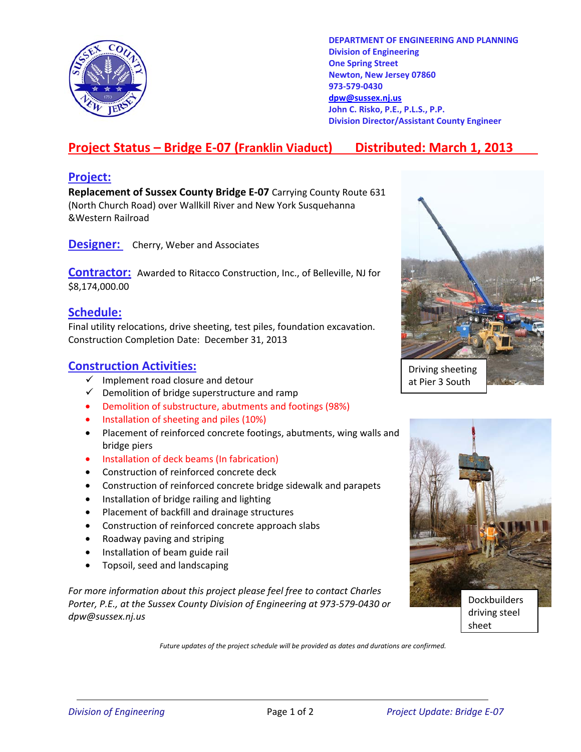

**DEPARTMENT OF ENGINEERING AND PLANNING Division of Engineering One Spring Street Newton, New Jersey 07860 973-579-0430 dpw@sussex.nj.us John C. Risko, P.E., P.L.S., P.P. Division Director/Assistant County Engineer** 

# **Project Status – Bridge E-07 (Franklin Viaduct) Distributed: March 1, 2013**

#### **Project:**

**Replacement of Sussex County Bridge E-07** Carrying County Route 631 (North Church Road) over Wallkill River and New York Susquehanna &Western Railroad

**Designer:** Cherry, Weber and Associates

**Contractor:** Awarded to Ritacco Construction, Inc., of Belleville, NJ for \$8,174,000.00

#### **Schedule:**

Final utility relocations, drive sheeting, test piles, foundation excavation. Construction Completion Date: December 31, 2013

### **Construction Activities:**

- $\checkmark$  Implement road closure and detour
- $\checkmark$  Demolition of bridge superstructure and ramp
- Demolition of substructure, abutments and footings (98%)
- Installation of sheeting and piles (10%)
- Placement of reinforced concrete footings, abutments, wing walls and bridge piers
- Installation of deck beams (In fabrication)
- Construction of reinforced concrete deck
- Construction of reinforced concrete bridge sidewalk and parapets
- Installation of bridge railing and lighting
- Placement of backfill and drainage structures
- Construction of reinforced concrete approach slabs
- Roadway paving and striping
- Installation of beam guide rail
- Topsoil, seed and landscaping

*For more information about this project please feel free to contact Charles Porter, P.E., at the Sussex County Division of Engineering at 973-579-0430 or dpw@sussex.nj.us* 





sheet

*Future updates of the project schedule will be provided as dates and durations are confirmed.*